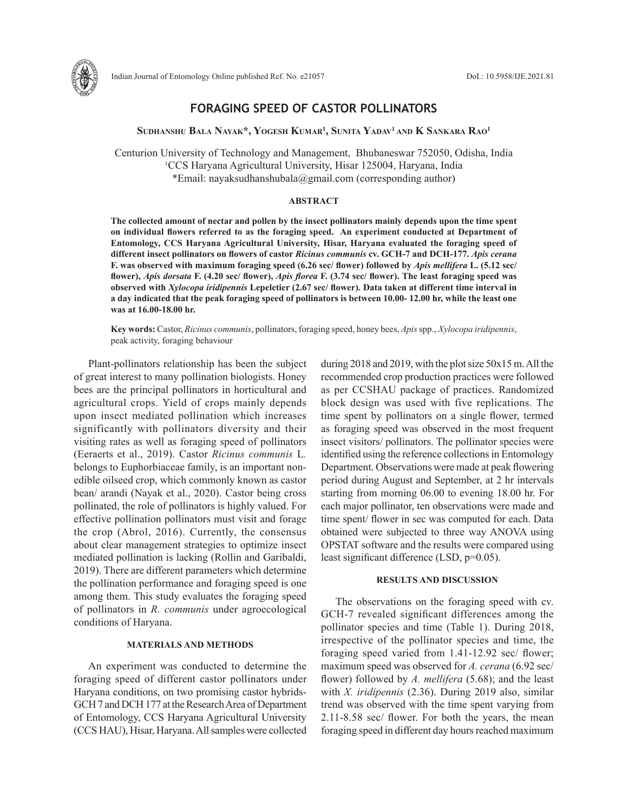

# **FORAGING SPEED OF CASTOR POLLINATORS**

**Sudhanshu Bala Nayak\*, Yogesh Kumar1 , Sunita Yadav1 and K Sankara Rao1**

Centurion University of Technology and Management, Bhubaneswar 752050, Odisha, India 1 CCS Haryana Agricultural University, Hisar 125004, Haryana, India \*Email: nayaksudhanshubala@gmail.com (corresponding author)

#### **ABSTRACT**

**The collected amount of nectar and pollen by the insect pollinators mainly depends upon the time spent on individual flowers referred to as the foraging speed. An experiment conducted at Department of Entomology, CCS Haryana Agricultural University, Hisar, Haryana evaluated the foraging speed of different insect pollinators on flowers of castor** *Ricinus communis* **cv. GCH-7 and DCH-177.** *Apis cerana* **F. was observed with maximum foraging speed (6.26 sec/ flower) followed by** *Apis mellifera* **L. (5.12 sec/ flower),** *Apis dorsata* **F. (4.20 sec/ flower),** *Apis florea* **F. (3.74 sec/ flower). The least foraging speed was observed with** *Xylocopa iridipennis* **Lepeletier (2.67 sec/ flower). Data taken at different time interval in a day indicated that the peak foraging speed of pollinators is between 10.00- 12.00 hr, while the least one was at 16.00-18.00 hr.**

**Key words:** Castor, *Ricinus communis*, pollinators, foraging speed, honey bees, *Apis* spp., *Xylocopa iridipennis*, peak activity, foraging behaviour

Plant-pollinators relationship has been the subject of great interest to many pollination biologists. Honey bees are the principal pollinators in horticultural and agricultural crops. Yield of crops mainly depends upon insect mediated pollination which increases significantly with pollinators diversity and their visiting rates as well as foraging speed of pollinators (Eeraerts et al., 2019). Castor *Ricinus communis* L*.* belongs to Euphorbiaceae family, is an important nonedible oilseed crop, which commonly known as castor bean/ arandi (Nayak et al., 2020). Castor being cross pollinated, the role of pollinators is highly valued. For effective pollination pollinators must visit and forage the crop (Abrol, 2016). Currently, the consensus about clear management strategies to optimize insect mediated pollination is lacking (Rollin and Garibaldi, 2019). There are different parameters which determine the pollination performance and foraging speed is one among them. This study evaluates the foraging speed of pollinators in *R. communis* under agroecological conditions of Haryana.

## **MATERIALS AND METHODS**

An experiment was conducted to determine the foraging speed of different castor pollinators under Haryana conditions, on two promising castor hybrids-GCH 7 and DCH 177 at the Research Area of Department of Entomology, CCS Haryana Agricultural University (CCS HAU), Hisar, Haryana. All samples were collected during 2018 and 2019, with the plot size 50x15 m. All the recommended crop production practices were followed as per CCSHAU package of practices. Randomized block design was used with five replications. The time spent by pollinators on a single flower, termed as foraging speed was observed in the most frequent insect visitors/ pollinators. The pollinator species were identified using the reference collections in Entomology Department. Observations were made at peak flowering period during August and September, at 2 hr intervals starting from morning 06.00 to evening 18.00 hr. For each major pollinator, ten observations were made and time spent/ flower in sec was computed for each. Data obtained were subjected to three way ANOVA using OPSTAT software and the results were compared using least significant difference (LSD, p=0.05).

### **RESULTS AND DISCUSSION**

The observations on the foraging speed with cv. GCH-7 revealed significant differences among the pollinator species and time (Table 1). During 2018, irrespective of the pollinator species and time, the foraging speed varied from 1.41-12.92 sec/ flower; maximum speed was observed for *A. cerana* (6.92 sec/ flower) followed by *A. mellifera* (5.68); and the least with *X. iridipennis* (2.36). During 2019 also, similar trend was observed with the time spent varying from 2.11-8.58 sec/ flower. For both the years, the mean foraging speed in different day hours reached maximum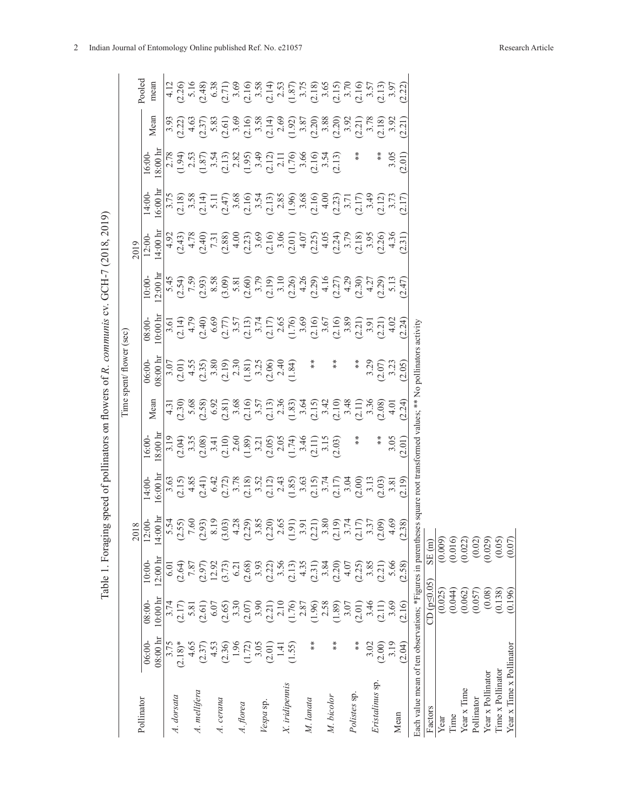| $0:00 \text{ hr}$<br>$08:00-$ |                                                                              | 2018                                                                                                     |                                                                                                                                                                                                                                                                        |                |                                                                                                                                                                                                                                                                                                                                                                                                                                                                | Time spent/ flower (sec)                                                                                                |                                                                                                                                                                                                                                                                                                   |                                                                                                                                                                                                                                                                                                                 | 2019                                                                                                                                                                                                                                                                           |                             |                                                                                                                                                                                                                                                                                                               |                                                                                                                                                                                                                                                                    |                                                                                                                                                                                                                                                                            |
|-------------------------------|------------------------------------------------------------------------------|----------------------------------------------------------------------------------------------------------|------------------------------------------------------------------------------------------------------------------------------------------------------------------------------------------------------------------------------------------------------------------------|----------------|----------------------------------------------------------------------------------------------------------------------------------------------------------------------------------------------------------------------------------------------------------------------------------------------------------------------------------------------------------------------------------------------------------------------------------------------------------------|-------------------------------------------------------------------------------------------------------------------------|---------------------------------------------------------------------------------------------------------------------------------------------------------------------------------------------------------------------------------------------------------------------------------------------------|-----------------------------------------------------------------------------------------------------------------------------------------------------------------------------------------------------------------------------------------------------------------------------------------------------------------|--------------------------------------------------------------------------------------------------------------------------------------------------------------------------------------------------------------------------------------------------------------------------------|-----------------------------|---------------------------------------------------------------------------------------------------------------------------------------------------------------------------------------------------------------------------------------------------------------------------------------------------------------|--------------------------------------------------------------------------------------------------------------------------------------------------------------------------------------------------------------------------------------------------------------------|----------------------------------------------------------------------------------------------------------------------------------------------------------------------------------------------------------------------------------------------------------------------------|
|                               |                                                                              |                                                                                                          |                                                                                                                                                                                                                                                                        |                |                                                                                                                                                                                                                                                                                                                                                                                                                                                                |                                                                                                                         |                                                                                                                                                                                                                                                                                                   |                                                                                                                                                                                                                                                                                                                 |                                                                                                                                                                                                                                                                                |                             |                                                                                                                                                                                                                                                                                                               |                                                                                                                                                                                                                                                                    | Pooled                                                                                                                                                                                                                                                                     |
|                               | $2:00 \text{ hr}$<br>10:00                                                   | $14:00 \text{ hr}$<br>$12:00-$                                                                           | $6:00 \;{\rm hr}$<br>$14:00-$                                                                                                                                                                                                                                          | 8:00h<br>16:00 | Mean                                                                                                                                                                                                                                                                                                                                                                                                                                                           | 18:00 h<br>06:00-                                                                                                       | $0.00 \text{ h}$<br>08:00-                                                                                                                                                                                                                                                                        | $2:00 \;h$<br>10:00                                                                                                                                                                                                                                                                                             | $14:00 \text{ h}$<br>$12:00-$                                                                                                                                                                                                                                                  | $6:00 \text{ hr}$<br>14:00- | $8:00 \; \mathrm{h}$<br>16:00                                                                                                                                                                                                                                                                                 | Mean                                                                                                                                                                                                                                                               | mean                                                                                                                                                                                                                                                                       |
|                               | 5.01                                                                         |                                                                                                          |                                                                                                                                                                                                                                                                        |                |                                                                                                                                                                                                                                                                                                                                                                                                                                                                |                                                                                                                         |                                                                                                                                                                                                                                                                                                   |                                                                                                                                                                                                                                                                                                                 |                                                                                                                                                                                                                                                                                |                             |                                                                                                                                                                                                                                                                                                               | $\frac{3.93}{2.22}$                                                                                                                                                                                                                                                |                                                                                                                                                                                                                                                                            |
|                               | (2.64)                                                                       | 5.54<br>2.55)<br>7.60                                                                                    | $3.63$<br>$(2.15)$<br>$4.85$                                                                                                                                                                                                                                           |                |                                                                                                                                                                                                                                                                                                                                                                                                                                                                | (2.01)                                                                                                                  | $3.61$<br>$(2.14)$<br>$4.79$                                                                                                                                                                                                                                                                      | $5.45$<br>(2.54)                                                                                                                                                                                                                                                                                                | $\frac{4.92}{(2.43)}$<br>4.78                                                                                                                                                                                                                                                  |                             |                                                                                                                                                                                                                                                                                                               |                                                                                                                                                                                                                                                                    |                                                                                                                                                                                                                                                                            |
| 5.81                          | 7.87                                                                         |                                                                                                          |                                                                                                                                                                                                                                                                        |                |                                                                                                                                                                                                                                                                                                                                                                                                                                                                |                                                                                                                         |                                                                                                                                                                                                                                                                                                   |                                                                                                                                                                                                                                                                                                                 |                                                                                                                                                                                                                                                                                |                             |                                                                                                                                                                                                                                                                                                               |                                                                                                                                                                                                                                                                    |                                                                                                                                                                                                                                                                            |
| (2.61)                        | (2.97)                                                                       | $\frac{2.93}{8.19}$                                                                                      |                                                                                                                                                                                                                                                                        |                |                                                                                                                                                                                                                                                                                                                                                                                                                                                                |                                                                                                                         |                                                                                                                                                                                                                                                                                                   |                                                                                                                                                                                                                                                                                                                 |                                                                                                                                                                                                                                                                                |                             |                                                                                                                                                                                                                                                                                                               |                                                                                                                                                                                                                                                                    |                                                                                                                                                                                                                                                                            |
| 6.07                          | 12.92                                                                        |                                                                                                          |                                                                                                                                                                                                                                                                        |                |                                                                                                                                                                                                                                                                                                                                                                                                                                                                |                                                                                                                         |                                                                                                                                                                                                                                                                                                   |                                                                                                                                                                                                                                                                                                                 |                                                                                                                                                                                                                                                                                |                             |                                                                                                                                                                                                                                                                                                               |                                                                                                                                                                                                                                                                    |                                                                                                                                                                                                                                                                            |
| (2.65)                        | (3.73)                                                                       | $\begin{array}{c} 3.03 \\ 4.28 \\ 2.29 \\ 3.85 \\ 2.20 \\ 2.65 \end{array}$                              | $\begin{array}{l} (1,2,3,4)\\ (2,4,5,5,6)\\ (3,5,6,7,8,8)\\ (4,5,6,7,8,8)\\ (5,5,6,7,8,8)\\ (6,5,6,7,8,8)\\ (7,5,6,7,8,8)\\ (8,5,6,7,8,8)\\ (9,5,6,7,8,8)\\ (1,5,6,7,8,8)\\ (1,5,6,7,8,8)\\ (1,5,6,7,8,8)\\ (1,5,6,7,8,8)\\ (1,5,6,7,8,8)\\ (1,5,6,7,8,8)\\ (1,5,6,7,$ |                | $\begin{array}{l} \n\overline{11}\\ \overline{13}\\ \overline{12}\\ \overline{13}\\ \overline{14}\\ \overline{15}\\ \overline{16}\\ \overline{18}\\ \overline{18}\\ \overline{18}\\ \overline{19}\\ \overline{18}\\ \overline{19}\\ \overline{19}\\ \overline{19}\\ \overline{10}\\ \overline{13}\\ \overline{13}\\ \overline{13}\\ \overline{13}\\ \overline{13}\\ \overline{13}\\ \overline{14}\\ \overline{12}\\ \overline{13}\\ \overline{14}\\ \overline$ | 4.55<br>$(2.35)$<br>$(3.80)$<br>$(3.10)$<br>$(1.81)$<br>$(3.25)$<br>$(1.81)$<br>$(3.25)$<br>$(1.84)$                    | $\begin{array}{l} (2.40,\\ 6.69,\\ 7.5,\\ 7.5,\\ (12.11)\\ (2.11)\\ (2.12)\\ (2.13)\\ (2.14)\\ (2.15)\\ (2.16)\\ (2.17)\\ (2.18)\\ (2.19)\\ (2.11)\\ (2.10)\\ (2.11)\\ (2.12)\\ (2.14)\\ (2.15)\\ (2.16)\\ (2.17)\\ (2.19)\\ (2.10)\\ (2.11)\\ (2.12)\\ (2.13)\\ (2.14)\\ (2.15)\\ (2.17)\\ (2.1$ | $\begin{array}{r} 7.9 \\ 7.9 \\ 2.9 \\ 8.5 \\ 9.9 \\ 1.47 \\ 1.47 \\ 1.47 \\ 1.47 \\ 1.47 \\ 1.47 \\ 1.47 \\ 1.47 \\ 1.47 \\ 1.47 \\ 1.47 \\ 1.47 \\ 1.47 \\ 1.47 \\ 1.47 \\ 1.47 \\ 1.47 \\ 1.47 \\ 1.47 \\ 1.47 \\ 1.47 \\ 1.47 \\ 1.47 \\ 1.47 \\ 1.47 \\ 1.47 \\ 1.47 \\ 1.47 \\ 1.47 \\ 1.47 \\ 1.47 \\ 1$ | $\begin{array}{l} (2.4, 2.5)\\ (2.4, 2.5)\\ (2.8, 2.5)\\ (2.8, 2.5)\\ (2.8, 2.5)\\ (2.8, 2.5)\\ (2.8, 2.5)\\ (2.8, 2.5)\\ (2.8, 2.5)\\ (2.8, 2.5)\\ (2.8, 2.5)\\ (2.8, 2.5)\\ (2.8, 2.5)\\ (2.8, 2.5)\\ (2.8, 2.5)\\ (2.8, 2.5)\\ (2.8, 2.5)\\ (2.8, 2.5)\\ (2.8, 2.5)\\ (2.8$ |                             | $\begin{array}{l} 2.78 \\ 1.94 \\ 1.37 \\ 2.53 \\ 3.54 \\ 4.87 \\ 5.37 \\ 5.47 \\ 5.47 \\ 5.47 \\ 5.47 \\ 5.47 \\ 5.47 \\ 5.47 \\ 5.47 \\ 5.47 \\ 5.47 \\ 5.47 \\ 5.47 \\ 5.47 \\ 5.47 \\ 5.47 \\ 5.47 \\ 5.47 \\ 5.47 \\ 5.47 \\ 5.47 \\ 5.47 \\ 5.47 \\ 5.47 \\ 5.47 \\ 5.47 \\ 5.47 \\ 5.47 \\ 5.47 \\ 5.$ | $\begin{array}{l} 4.63\\ 7.2,7,83\\ 5.63\\ 7.4,83\\ 7.5,83\\ 8.61\\ 3.62\\ 6.63\\ 7.4,83\\ 7.4,83\\ 7.4,83\\ 7.4,83\\ 7.4,83\\ 7.4,83\\ 7.4,83\\ 7.4,83\\ 7.4,83\\ 7.4,83\\ 7.4,83\\ 7.4,83\\ 7.4,83\\ 7.4,83\\ 7.4,83\\ 7.4,83\\ 7.4,83\\ 7.4,83\\ 7.4,83\\ 7.4,$ | $\begin{array}{l} 4.12\\ 2.06\\ 5.16\\ 2.37\\ 2.48\\ 3.63\\ 4.71\\ 3.69\\ 2.10\\ 4.71\\ 3.69\\ 4.71\\ 4.71\\ 4.71\\ 4.71\\ 4.71\\ 4.71\\ 4.71\\ 4.71\\ 4.71\\ 4.71\\ 4.71\\ 4.71\\ 4.71\\ 4.71\\ 4.71\\ 4.71\\ 4.71\\ 4.71\\ 4.71\\ 4.71\\ 4.71\\ 4.71\\ 4.71\\ 4.71\\ 4.$ |
| 3.30                          | $6.21$<br>(2.68)                                                             |                                                                                                          |                                                                                                                                                                                                                                                                        |                |                                                                                                                                                                                                                                                                                                                                                                                                                                                                |                                                                                                                         |                                                                                                                                                                                                                                                                                                   |                                                                                                                                                                                                                                                                                                                 |                                                                                                                                                                                                                                                                                |                             |                                                                                                                                                                                                                                                                                                               |                                                                                                                                                                                                                                                                    |                                                                                                                                                                                                                                                                            |
| (2.07)                        |                                                                              |                                                                                                          |                                                                                                                                                                                                                                                                        |                |                                                                                                                                                                                                                                                                                                                                                                                                                                                                |                                                                                                                         |                                                                                                                                                                                                                                                                                                   |                                                                                                                                                                                                                                                                                                                 |                                                                                                                                                                                                                                                                                |                             |                                                                                                                                                                                                                                                                                                               |                                                                                                                                                                                                                                                                    |                                                                                                                                                                                                                                                                            |
| 3.90                          |                                                                              |                                                                                                          |                                                                                                                                                                                                                                                                        |                |                                                                                                                                                                                                                                                                                                                                                                                                                                                                |                                                                                                                         |                                                                                                                                                                                                                                                                                                   |                                                                                                                                                                                                                                                                                                                 |                                                                                                                                                                                                                                                                                |                             |                                                                                                                                                                                                                                                                                                               |                                                                                                                                                                                                                                                                    |                                                                                                                                                                                                                                                                            |
| (2.21)                        |                                                                              |                                                                                                          |                                                                                                                                                                                                                                                                        |                |                                                                                                                                                                                                                                                                                                                                                                                                                                                                |                                                                                                                         |                                                                                                                                                                                                                                                                                                   |                                                                                                                                                                                                                                                                                                                 |                                                                                                                                                                                                                                                                                |                             |                                                                                                                                                                                                                                                                                                               |                                                                                                                                                                                                                                                                    |                                                                                                                                                                                                                                                                            |
| 2.10                          |                                                                              |                                                                                                          |                                                                                                                                                                                                                                                                        |                |                                                                                                                                                                                                                                                                                                                                                                                                                                                                |                                                                                                                         |                                                                                                                                                                                                                                                                                                   |                                                                                                                                                                                                                                                                                                                 |                                                                                                                                                                                                                                                                                |                             |                                                                                                                                                                                                                                                                                                               |                                                                                                                                                                                                                                                                    |                                                                                                                                                                                                                                                                            |
| (1.76)                        | $\begin{array}{c} 3.93 \\ (2.22) \\ 3.56 \\ (2.13) \\ (2.13) \\ \end{array}$ |                                                                                                          |                                                                                                                                                                                                                                                                        |                |                                                                                                                                                                                                                                                                                                                                                                                                                                                                |                                                                                                                         |                                                                                                                                                                                                                                                                                                   |                                                                                                                                                                                                                                                                                                                 |                                                                                                                                                                                                                                                                                |                             |                                                                                                                                                                                                                                                                                                               |                                                                                                                                                                                                                                                                    |                                                                                                                                                                                                                                                                            |
| 2.87                          |                                                                              |                                                                                                          |                                                                                                                                                                                                                                                                        |                |                                                                                                                                                                                                                                                                                                                                                                                                                                                                |                                                                                                                         |                                                                                                                                                                                                                                                                                                   |                                                                                                                                                                                                                                                                                                                 |                                                                                                                                                                                                                                                                                |                             |                                                                                                                                                                                                                                                                                                               |                                                                                                                                                                                                                                                                    |                                                                                                                                                                                                                                                                            |
| (1.96)                        | (2.31)                                                                       | $\begin{array}{c} (1.91) \\ 3.91 \\ 2.21) \\ 3.80 \\ 3.80 \\ 2.19) \\ 3.74 \\ 2.17) \\ 3.37 \end{array}$ |                                                                                                                                                                                                                                                                        |                |                                                                                                                                                                                                                                                                                                                                                                                                                                                                | $*$                                                                                                                     |                                                                                                                                                                                                                                                                                                   |                                                                                                                                                                                                                                                                                                                 |                                                                                                                                                                                                                                                                                |                             |                                                                                                                                                                                                                                                                                                               |                                                                                                                                                                                                                                                                    |                                                                                                                                                                                                                                                                            |
| 2.58                          | 3.84                                                                         |                                                                                                          |                                                                                                                                                                                                                                                                        |                |                                                                                                                                                                                                                                                                                                                                                                                                                                                                |                                                                                                                         |                                                                                                                                                                                                                                                                                                   |                                                                                                                                                                                                                                                                                                                 |                                                                                                                                                                                                                                                                                |                             |                                                                                                                                                                                                                                                                                                               |                                                                                                                                                                                                                                                                    |                                                                                                                                                                                                                                                                            |
| (1.89)                        | (2.20)                                                                       |                                                                                                          |                                                                                                                                                                                                                                                                        |                | (2.10)                                                                                                                                                                                                                                                                                                                                                                                                                                                         | **                                                                                                                      |                                                                                                                                                                                                                                                                                                   |                                                                                                                                                                                                                                                                                                                 |                                                                                                                                                                                                                                                                                |                             |                                                                                                                                                                                                                                                                                                               |                                                                                                                                                                                                                                                                    |                                                                                                                                                                                                                                                                            |
| 3.07                          | 4.07                                                                         |                                                                                                          |                                                                                                                                                                                                                                                                        |                | 3.48                                                                                                                                                                                                                                                                                                                                                                                                                                                           |                                                                                                                         |                                                                                                                                                                                                                                                                                                   |                                                                                                                                                                                                                                                                                                                 |                                                                                                                                                                                                                                                                                |                             |                                                                                                                                                                                                                                                                                                               |                                                                                                                                                                                                                                                                    |                                                                                                                                                                                                                                                                            |
| (2.01)                        | (2.25)                                                                       |                                                                                                          |                                                                                                                                                                                                                                                                        | **             | (2.11)                                                                                                                                                                                                                                                                                                                                                                                                                                                         | $*$                                                                                                                     |                                                                                                                                                                                                                                                                                                   |                                                                                                                                                                                                                                                                                                                 |                                                                                                                                                                                                                                                                                |                             |                                                                                                                                                                                                                                                                                                               |                                                                                                                                                                                                                                                                    |                                                                                                                                                                                                                                                                            |
| 3.46                          | 3.85                                                                         |                                                                                                          |                                                                                                                                                                                                                                                                        |                |                                                                                                                                                                                                                                                                                                                                                                                                                                                                | 3.29                                                                                                                    |                                                                                                                                                                                                                                                                                                   |                                                                                                                                                                                                                                                                                                                 |                                                                                                                                                                                                                                                                                |                             |                                                                                                                                                                                                                                                                                                               |                                                                                                                                                                                                                                                                    |                                                                                                                                                                                                                                                                            |
| (2.11)                        | (2.21)                                                                       | (60.2)                                                                                                   | (2.03)                                                                                                                                                                                                                                                                 | $*$            | $\frac{3.36}{2.08}$                                                                                                                                                                                                                                                                                                                                                                                                                                            | (2.07)                                                                                                                  |                                                                                                                                                                                                                                                                                                   |                                                                                                                                                                                                                                                                                                                 |                                                                                                                                                                                                                                                                                |                             |                                                                                                                                                                                                                                                                                                               |                                                                                                                                                                                                                                                                    |                                                                                                                                                                                                                                                                            |
| 3.69                          | 5.66                                                                         | 4.69                                                                                                     | 3.81                                                                                                                                                                                                                                                                   | 3.05           | 4.0                                                                                                                                                                                                                                                                                                                                                                                                                                                            | 3.23                                                                                                                    |                                                                                                                                                                                                                                                                                                   |                                                                                                                                                                                                                                                                                                                 |                                                                                                                                                                                                                                                                                |                             | 3.05                                                                                                                                                                                                                                                                                                          |                                                                                                                                                                                                                                                                    |                                                                                                                                                                                                                                                                            |
| (2.16)                        | (2.58)                                                                       | 2.38)                                                                                                    | (2.19)                                                                                                                                                                                                                                                                 | 2.01           | 2.24                                                                                                                                                                                                                                                                                                                                                                                                                                                           | (2.05)                                                                                                                  | 2.24                                                                                                                                                                                                                                                                                              |                                                                                                                                                                                                                                                                                                                 |                                                                                                                                                                                                                                                                                |                             | 2.01                                                                                                                                                                                                                                                                                                          | 2.21                                                                                                                                                                                                                                                               |                                                                                                                                                                                                                                                                            |
|                               |                                                                              |                                                                                                          |                                                                                                                                                                                                                                                                        |                |                                                                                                                                                                                                                                                                                                                                                                                                                                                                | Each value mean of ten observations; *Figures in parentheses square root transformed values; ** No pollinators activity |                                                                                                                                                                                                                                                                                                   |                                                                                                                                                                                                                                                                                                                 |                                                                                                                                                                                                                                                                                |                             |                                                                                                                                                                                                                                                                                                               |                                                                                                                                                                                                                                                                    |                                                                                                                                                                                                                                                                            |
| $CD (p \leq 0.05)$            | SE(m)                                                                        |                                                                                                          |                                                                                                                                                                                                                                                                        |                |                                                                                                                                                                                                                                                                                                                                                                                                                                                                |                                                                                                                         |                                                                                                                                                                                                                                                                                                   |                                                                                                                                                                                                                                                                                                                 |                                                                                                                                                                                                                                                                                |                             |                                                                                                                                                                                                                                                                                                               |                                                                                                                                                                                                                                                                    |                                                                                                                                                                                                                                                                            |
| (0.025)                       | (0.009)                                                                      |                                                                                                          |                                                                                                                                                                                                                                                                        |                |                                                                                                                                                                                                                                                                                                                                                                                                                                                                |                                                                                                                         |                                                                                                                                                                                                                                                                                                   |                                                                                                                                                                                                                                                                                                                 |                                                                                                                                                                                                                                                                                |                             |                                                                                                                                                                                                                                                                                                               |                                                                                                                                                                                                                                                                    |                                                                                                                                                                                                                                                                            |
| (0.044)                       | (0.016)                                                                      |                                                                                                          |                                                                                                                                                                                                                                                                        |                |                                                                                                                                                                                                                                                                                                                                                                                                                                                                |                                                                                                                         |                                                                                                                                                                                                                                                                                                   |                                                                                                                                                                                                                                                                                                                 |                                                                                                                                                                                                                                                                                |                             |                                                                                                                                                                                                                                                                                                               |                                                                                                                                                                                                                                                                    |                                                                                                                                                                                                                                                                            |
| (0.062)                       | (0.022)                                                                      |                                                                                                          |                                                                                                                                                                                                                                                                        |                |                                                                                                                                                                                                                                                                                                                                                                                                                                                                |                                                                                                                         |                                                                                                                                                                                                                                                                                                   |                                                                                                                                                                                                                                                                                                                 |                                                                                                                                                                                                                                                                                |                             |                                                                                                                                                                                                                                                                                                               |                                                                                                                                                                                                                                                                    |                                                                                                                                                                                                                                                                            |
| (0.057)                       | (0.02)                                                                       |                                                                                                          |                                                                                                                                                                                                                                                                        |                |                                                                                                                                                                                                                                                                                                                                                                                                                                                                |                                                                                                                         |                                                                                                                                                                                                                                                                                                   |                                                                                                                                                                                                                                                                                                                 |                                                                                                                                                                                                                                                                                |                             |                                                                                                                                                                                                                                                                                                               |                                                                                                                                                                                                                                                                    |                                                                                                                                                                                                                                                                            |
| (0.08)                        | (0.029)                                                                      |                                                                                                          |                                                                                                                                                                                                                                                                        |                |                                                                                                                                                                                                                                                                                                                                                                                                                                                                |                                                                                                                         |                                                                                                                                                                                                                                                                                                   |                                                                                                                                                                                                                                                                                                                 |                                                                                                                                                                                                                                                                                |                             |                                                                                                                                                                                                                                                                                                               |                                                                                                                                                                                                                                                                    |                                                                                                                                                                                                                                                                            |
| (0.138)                       | (0.05)                                                                       |                                                                                                          |                                                                                                                                                                                                                                                                        |                |                                                                                                                                                                                                                                                                                                                                                                                                                                                                |                                                                                                                         |                                                                                                                                                                                                                                                                                                   |                                                                                                                                                                                                                                                                                                                 |                                                                                                                                                                                                                                                                                |                             |                                                                                                                                                                                                                                                                                                               |                                                                                                                                                                                                                                                                    |                                                                                                                                                                                                                                                                            |
| 0.196                         | (0.07)                                                                       |                                                                                                          |                                                                                                                                                                                                                                                                        |                |                                                                                                                                                                                                                                                                                                                                                                                                                                                                |                                                                                                                         |                                                                                                                                                                                                                                                                                                   |                                                                                                                                                                                                                                                                                                                 |                                                                                                                                                                                                                                                                                |                             |                                                                                                                                                                                                                                                                                                               |                                                                                                                                                                                                                                                                    |                                                                                                                                                                                                                                                                            |

Table 1. Foraging speed of pollinators on flowers of R. communis cv. GCH-7 (2018, 2019) Table 1. Foraging speed of pollinators on flowers of *R. communis* cv. GCH-7 (2018, 2019)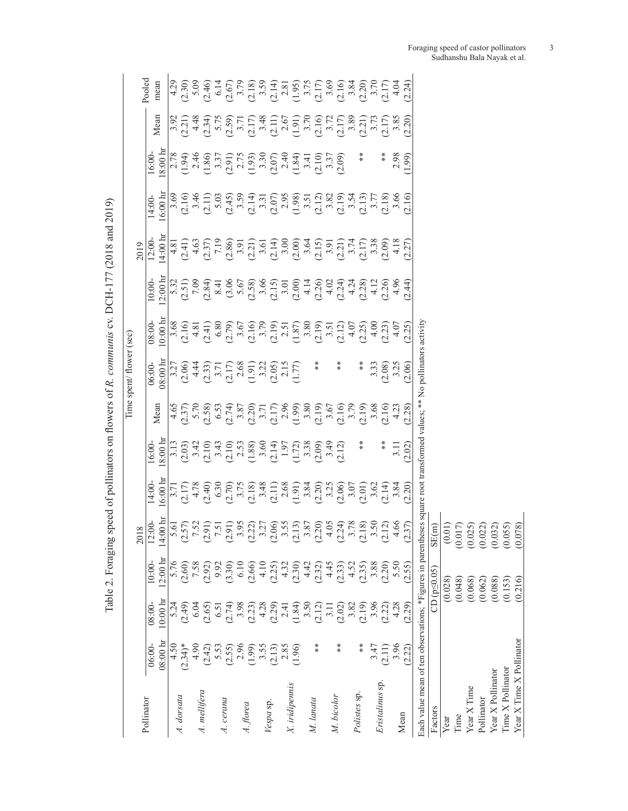|                                                                                                                         |                              |                                  |                                                              |                                                                                                                                                                                                                                                                                                                                               |                  |                                                                                                                                                                                                                                                                                                               |                                                                                                                                                                                                                                                                                                                                                  | Time spent/ flower (sec)                                                                                                                                                                                                                                                                                                                      |                                                                                                                                                                                                                                                                                                                                                                                                                          |                                                                                                                                                                                                                                                                                                                                                                                                                                    |                               |                                                                                                                                                                                                                                                                                                                                                                                                                                   |                                                                                                                                                                                                                                                                                                      |      |                                                                                                                                                                                                                                                                                                                                                                                                                                                                 |
|-------------------------------------------------------------------------------------------------------------------------|------------------------------|----------------------------------|--------------------------------------------------------------|-----------------------------------------------------------------------------------------------------------------------------------------------------------------------------------------------------------------------------------------------------------------------------------------------------------------------------------------------|------------------|---------------------------------------------------------------------------------------------------------------------------------------------------------------------------------------------------------------------------------------------------------------------------------------------------------------|--------------------------------------------------------------------------------------------------------------------------------------------------------------------------------------------------------------------------------------------------------------------------------------------------------------------------------------------------|-----------------------------------------------------------------------------------------------------------------------------------------------------------------------------------------------------------------------------------------------------------------------------------------------------------------------------------------------|--------------------------------------------------------------------------------------------------------------------------------------------------------------------------------------------------------------------------------------------------------------------------------------------------------------------------------------------------------------------------------------------------------------------------|------------------------------------------------------------------------------------------------------------------------------------------------------------------------------------------------------------------------------------------------------------------------------------------------------------------------------------------------------------------------------------------------------------------------------------|-------------------------------|-----------------------------------------------------------------------------------------------------------------------------------------------------------------------------------------------------------------------------------------------------------------------------------------------------------------------------------------------------------------------------------------------------------------------------------|------------------------------------------------------------------------------------------------------------------------------------------------------------------------------------------------------------------------------------------------------------------------------------------------------|------|-----------------------------------------------------------------------------------------------------------------------------------------------------------------------------------------------------------------------------------------------------------------------------------------------------------------------------------------------------------------------------------------------------------------------------------------------------------------|
| Pollinator                                                                                                              |                              |                                  |                                                              | 2018                                                                                                                                                                                                                                                                                                                                          |                  |                                                                                                                                                                                                                                                                                                               |                                                                                                                                                                                                                                                                                                                                                  |                                                                                                                                                                                                                                                                                                                                               |                                                                                                                                                                                                                                                                                                                                                                                                                          |                                                                                                                                                                                                                                                                                                                                                                                                                                    | 2019                          |                                                                                                                                                                                                                                                                                                                                                                                                                                   |                                                                                                                                                                                                                                                                                                      |      | Pooled                                                                                                                                                                                                                                                                                                                                                                                                                                                          |
|                                                                                                                         | $08:00 \text{ hr}$<br>06:00- | $10:00 \text{ hr}$<br>$08:00-$   | $2:00 \text{ hr}$<br>$10:00-$                                | $\begin{array}{l} 12.00 \\ 14.00 \\ 14.00 \\ -1.50 \\ -1.50 \\ -1.50 \\ -1.50 \\ -1.50 \\ -1.50 \\ -1.50 \\ -1.50 \\ -1.50 \\ -1.50 \\ -1.50 \\ -1.50 \\ -1.50 \\ -1.50 \\ -1.50 \\ -1.50 \\ -1.50 \\ -1.50 \\ -1.50 \\ -1.50 \\ -1.50 \\ -1.50 \\ -1.50 \\ -1.50 \\ -1.50 \\ -1.50 \\ -1.50 \\ -1.50 \\ -1.50 \\ -1.50 \\ -1.50 \\ -1.50 \\$ | 6:00 h<br>14:00- | 8:00h<br>16:00                                                                                                                                                                                                                                                                                                | Mean                                                                                                                                                                                                                                                                                                                                             | $18:00 \text{ h}$<br>$06:00-$                                                                                                                                                                                                                                                                                                                 | $0:00 \; \mathrm{h}$<br>$08:00 -$                                                                                                                                                                                                                                                                                                                                                                                        | 2:00 h<br>10:00                                                                                                                                                                                                                                                                                                                                                                                                                    | $4:00 \; \mathrm{h}$<br>12:00 | $6:00 \;{\rm{h}}$<br>14:00                                                                                                                                                                                                                                                                                                                                                                                                        | $8:00 \; \mathrm{h}$<br>16:00                                                                                                                                                                                                                                                                        | Mean | mean                                                                                                                                                                                                                                                                                                                                                                                                                                                            |
|                                                                                                                         | 4.50                         | 5.24                             | 5.76                                                         |                                                                                                                                                                                                                                                                                                                                               |                  |                                                                                                                                                                                                                                                                                                               |                                                                                                                                                                                                                                                                                                                                                  |                                                                                                                                                                                                                                                                                                                                               |                                                                                                                                                                                                                                                                                                                                                                                                                          |                                                                                                                                                                                                                                                                                                                                                                                                                                    |                               |                                                                                                                                                                                                                                                                                                                                                                                                                                   |                                                                                                                                                                                                                                                                                                      |      |                                                                                                                                                                                                                                                                                                                                                                                                                                                                 |
| A. dorsata                                                                                                              | $(2.34)$ *                   | (64.2)                           | (2.60)                                                       |                                                                                                                                                                                                                                                                                                                                               |                  |                                                                                                                                                                                                                                                                                                               |                                                                                                                                                                                                                                                                                                                                                  |                                                                                                                                                                                                                                                                                                                                               |                                                                                                                                                                                                                                                                                                                                                                                                                          |                                                                                                                                                                                                                                                                                                                                                                                                                                    |                               |                                                                                                                                                                                                                                                                                                                                                                                                                                   |                                                                                                                                                                                                                                                                                                      |      |                                                                                                                                                                                                                                                                                                                                                                                                                                                                 |
|                                                                                                                         | 4.90                         | 6.04                             | 7.58                                                         |                                                                                                                                                                                                                                                                                                                                               |                  |                                                                                                                                                                                                                                                                                                               |                                                                                                                                                                                                                                                                                                                                                  |                                                                                                                                                                                                                                                                                                                                               |                                                                                                                                                                                                                                                                                                                                                                                                                          |                                                                                                                                                                                                                                                                                                                                                                                                                                    |                               |                                                                                                                                                                                                                                                                                                                                                                                                                                   |                                                                                                                                                                                                                                                                                                      |      |                                                                                                                                                                                                                                                                                                                                                                                                                                                                 |
| A. mellifera                                                                                                            | (2.42)                       | (2.65)                           | (2.92)                                                       |                                                                                                                                                                                                                                                                                                                                               |                  |                                                                                                                                                                                                                                                                                                               |                                                                                                                                                                                                                                                                                                                                                  |                                                                                                                                                                                                                                                                                                                                               |                                                                                                                                                                                                                                                                                                                                                                                                                          |                                                                                                                                                                                                                                                                                                                                                                                                                                    |                               |                                                                                                                                                                                                                                                                                                                                                                                                                                   |                                                                                                                                                                                                                                                                                                      |      |                                                                                                                                                                                                                                                                                                                                                                                                                                                                 |
|                                                                                                                         | 5.53                         | 6.51                             | 9.92                                                         |                                                                                                                                                                                                                                                                                                                                               |                  |                                                                                                                                                                                                                                                                                                               |                                                                                                                                                                                                                                                                                                                                                  |                                                                                                                                                                                                                                                                                                                                               |                                                                                                                                                                                                                                                                                                                                                                                                                          |                                                                                                                                                                                                                                                                                                                                                                                                                                    |                               |                                                                                                                                                                                                                                                                                                                                                                                                                                   |                                                                                                                                                                                                                                                                                                      |      |                                                                                                                                                                                                                                                                                                                                                                                                                                                                 |
| A. cerana                                                                                                               | (2.55)                       | (2.74)                           | (3.30)                                                       |                                                                                                                                                                                                                                                                                                                                               |                  | $\begin{array}{l} 11.9 \\ 12.9 \\ 13.9 \\ 14.9 \\ 15.9 \\ 16.9 \\ 17.9 \\ 18.9 \\ 19.9 \\ 19.9 \\ 19.9 \\ 19.9 \\ 19.9 \\ 19.9 \\ 19.9 \\ 19.9 \\ 19.9 \\ 19.9 \\ 19.9 \\ 19.9 \\ 19.9 \\ 19.9 \\ 19.9 \\ 19.9 \\ 19.9 \\ 19.9 \\ 19.9 \\ 19.9 \\ 19.9 \\ 19.9 \\ 19.9 \\ 19.9 \\ 19.9 \\ 19.9 \\ 19.9 \\ 19$ | $\begin{array}{l} 4.65 \\ (2.37) \\ (3.78) \\ (5.8) \\ (5.8) \\ (5.8) \\ (5.8) \\ (5.8) \\ (5.8) \\ (5.8) \\ (5.8) \\ (5.8) \\ (5.8) \\ (5.8) \\ (5.8) \\ (5.8) \\ (5.8) \\ (5.8) \\ (5.8) \\ (5.8) \\ (5.8) \\ (5.8) \\ (5.8) \\ (5.8) \\ (5.8) \\ (5.8) \\ (5.8) \\ (5.8) \\ (5.8) \\ (5.8) \\ (5.8) \\ (5.8) \\ (5.8) \\ (5.8) \\ (5.8) \\ ($ | $\begin{array}{c} 3.27 \\ 2.66 \\ 2.43 \\ 3.71 \\ -0.58 \\ -0.59 \\ -0.59 \\ -0.59 \\ -0.59 \\ -0.59 \\ -0.59 \\ -0.59 \\ -0.59 \\ -0.59 \\ -0.59 \\ -0.59 \\ -0.59 \\ -0.59 \\ -0.59 \\ -0.59 \\ -0.59 \\ -0.59 \\ -0.59 \\ -0.59 \\ -0.59 \\ -0.59 \\ -0.59 \\ -0.59 \\ -0.59 \\ -0.59 \\ -0.59 \\ -0.59 \\ -0.59 \\ -0.59 \\ -0.59 \\ -0.$ | $(3,6) \times (3,6) \times (3,6) \times (3,6) \times (3,6) \times (3,6) \times (3,6) \times (3,6) \times (3,6) \times (3,6) \times (3,6) \times (3,6) \times (3,6) \times (3,6) \times (3,6) \times (3,6) \times (3,6) \times (3,6) \times (3,6) \times (3,6) \times (3,6) \times (3,6) \times (3,6) \times (3,6) \times (3,6) \times (3,6) \times (3,6) \times (3,6) \times (3,6) \times (3,6) \times (3,6) \times (3,$ | $5.32\begin{array}{l} 5.92\end{array} \begin{array}{l} 5.72\end{array} \begin{array}{l} 1,000\end{array} \begin{array}{l} 1,000\end{array} \begin{array}{l} 2,000\end{array} \begin{array}{l} 2,000\end{array} \begin{array}{l} 2,000\end{array} \begin{array}{l} 2,000\end{array} \begin{array}{l} 2,000\end{array} \begin{array}{l} 2,000\end{array} \begin{array}{l} 2,000\end{array} \begin{array}{l} 2,000\end{array} \begin$ |                               | $\begin{array}{l} 69 \overline{)61} \overline{)63} \overline{)64} \overline{)64} \overline{)63} \overline{)64} \overline{)64} \overline{)63} \overline{)64} \overline{)64} \overline{)65} \overline{)64} \overline{)64} \overline{)65} \overline{)64} \overline{)65} \overline{)64} \overline{)65} \overline{)65} \overline{)65} \overline{)66} \overline{)66} \overline{)66} \overline{)66} \overline{)66} \overline{)66} \over$ | $\begin{array}{l} (2.78)\\ (1.94)\\ (1.86)\\ (1.87)\\ (2.81)\\ (2.81)\\ (2.81)\\ (2.81)\\ (2.81)\\ (2.81)\\ (2.81)\\ (2.81)\\ (2.81)\\ (2.81)\\ (2.81)\\ (2.81)\\ (2.81)\\ (2.81)\\ (2.81)\\ (2.81)\\ (2.81)\\ (2.81)\\ (2.81)\\ (2.81)\\ (2.81)\\ (2.81)\\ (2.81)\\ (2.81)\\ (2.81)\\ (2.81)\\ (2.$ |      | $\begin{array}{l} \mathcal{A},\mathcal{C},\mathcal{C},\mathcal{C},\mathcal{C},\mathcal{C},\mathcal{C},\mathcal{C},\mathcal{C},\mathcal{C},\mathcal{C},\mathcal{C},\mathcal{C},\mathcal{C},\mathcal{C},\mathcal{C},\mathcal{C},\mathcal{C},\mathcal{C},\mathcal{C},\mathcal{C},\mathcal{C},\mathcal{C},\mathcal{C},\mathcal{C},\mathcal{C},\mathcal{C},\mathcal{C},\mathcal{C},\mathcal{C},\mathcal{C},\mathcal{C},\mathcal{C},\mathcal{C},\mathcal{C},\mathcal$ |
|                                                                                                                         | 2.96                         | 3.98                             | $6.10$                                                       |                                                                                                                                                                                                                                                                                                                                               |                  |                                                                                                                                                                                                                                                                                                               |                                                                                                                                                                                                                                                                                                                                                  |                                                                                                                                                                                                                                                                                                                                               |                                                                                                                                                                                                                                                                                                                                                                                                                          |                                                                                                                                                                                                                                                                                                                                                                                                                                    |                               |                                                                                                                                                                                                                                                                                                                                                                                                                                   |                                                                                                                                                                                                                                                                                                      |      |                                                                                                                                                                                                                                                                                                                                                                                                                                                                 |
| A. florea                                                                                                               | (1.99)                       | (2.23)                           | (2.66)                                                       |                                                                                                                                                                                                                                                                                                                                               |                  |                                                                                                                                                                                                                                                                                                               |                                                                                                                                                                                                                                                                                                                                                  |                                                                                                                                                                                                                                                                                                                                               |                                                                                                                                                                                                                                                                                                                                                                                                                          |                                                                                                                                                                                                                                                                                                                                                                                                                                    |                               |                                                                                                                                                                                                                                                                                                                                                                                                                                   |                                                                                                                                                                                                                                                                                                      |      |                                                                                                                                                                                                                                                                                                                                                                                                                                                                 |
|                                                                                                                         | 3.55                         |                                  |                                                              |                                                                                                                                                                                                                                                                                                                                               |                  |                                                                                                                                                                                                                                                                                                               |                                                                                                                                                                                                                                                                                                                                                  |                                                                                                                                                                                                                                                                                                                                               |                                                                                                                                                                                                                                                                                                                                                                                                                          |                                                                                                                                                                                                                                                                                                                                                                                                                                    |                               |                                                                                                                                                                                                                                                                                                                                                                                                                                   |                                                                                                                                                                                                                                                                                                      |      |                                                                                                                                                                                                                                                                                                                                                                                                                                                                 |
| Vespa sp                                                                                                                | (2.13)                       | $(2.29)$<br>$(2.34)$<br>$(1.84)$ | 4.10<br>$(2.25)$<br>$4.32$<br>$(2.30)$<br>$4.42$<br>$(2.32)$ |                                                                                                                                                                                                                                                                                                                                               |                  |                                                                                                                                                                                                                                                                                                               |                                                                                                                                                                                                                                                                                                                                                  |                                                                                                                                                                                                                                                                                                                                               |                                                                                                                                                                                                                                                                                                                                                                                                                          |                                                                                                                                                                                                                                                                                                                                                                                                                                    |                               |                                                                                                                                                                                                                                                                                                                                                                                                                                   |                                                                                                                                                                                                                                                                                                      |      |                                                                                                                                                                                                                                                                                                                                                                                                                                                                 |
|                                                                                                                         | 2.85                         |                                  |                                                              |                                                                                                                                                                                                                                                                                                                                               |                  |                                                                                                                                                                                                                                                                                                               |                                                                                                                                                                                                                                                                                                                                                  |                                                                                                                                                                                                                                                                                                                                               |                                                                                                                                                                                                                                                                                                                                                                                                                          |                                                                                                                                                                                                                                                                                                                                                                                                                                    |                               |                                                                                                                                                                                                                                                                                                                                                                                                                                   |                                                                                                                                                                                                                                                                                                      |      |                                                                                                                                                                                                                                                                                                                                                                                                                                                                 |
| X. iridipennis                                                                                                          | (1.96)                       |                                  |                                                              |                                                                                                                                                                                                                                                                                                                                               |                  |                                                                                                                                                                                                                                                                                                               |                                                                                                                                                                                                                                                                                                                                                  |                                                                                                                                                                                                                                                                                                                                               |                                                                                                                                                                                                                                                                                                                                                                                                                          |                                                                                                                                                                                                                                                                                                                                                                                                                                    |                               |                                                                                                                                                                                                                                                                                                                                                                                                                                   |                                                                                                                                                                                                                                                                                                      |      |                                                                                                                                                                                                                                                                                                                                                                                                                                                                 |
|                                                                                                                         |                              | $3.50$<br>(2.12)                 |                                                              |                                                                                                                                                                                                                                                                                                                                               |                  |                                                                                                                                                                                                                                                                                                               |                                                                                                                                                                                                                                                                                                                                                  |                                                                                                                                                                                                                                                                                                                                               |                                                                                                                                                                                                                                                                                                                                                                                                                          |                                                                                                                                                                                                                                                                                                                                                                                                                                    |                               |                                                                                                                                                                                                                                                                                                                                                                                                                                   |                                                                                                                                                                                                                                                                                                      |      |                                                                                                                                                                                                                                                                                                                                                                                                                                                                 |
| M. lanata                                                                                                               | **                           |                                  |                                                              |                                                                                                                                                                                                                                                                                                                                               |                  |                                                                                                                                                                                                                                                                                                               |                                                                                                                                                                                                                                                                                                                                                  | $*$                                                                                                                                                                                                                                                                                                                                           |                                                                                                                                                                                                                                                                                                                                                                                                                          |                                                                                                                                                                                                                                                                                                                                                                                                                                    |                               |                                                                                                                                                                                                                                                                                                                                                                                                                                   |                                                                                                                                                                                                                                                                                                      |      |                                                                                                                                                                                                                                                                                                                                                                                                                                                                 |
|                                                                                                                         |                              | 3.11                             | 4.45                                                         |                                                                                                                                                                                                                                                                                                                                               |                  |                                                                                                                                                                                                                                                                                                               |                                                                                                                                                                                                                                                                                                                                                  |                                                                                                                                                                                                                                                                                                                                               |                                                                                                                                                                                                                                                                                                                                                                                                                          |                                                                                                                                                                                                                                                                                                                                                                                                                                    |                               |                                                                                                                                                                                                                                                                                                                                                                                                                                   |                                                                                                                                                                                                                                                                                                      |      |                                                                                                                                                                                                                                                                                                                                                                                                                                                                 |
| M. bicolor                                                                                                              | **                           | (2.02)                           | (2.33)                                                       |                                                                                                                                                                                                                                                                                                                                               |                  |                                                                                                                                                                                                                                                                                                               |                                                                                                                                                                                                                                                                                                                                                  | $*$                                                                                                                                                                                                                                                                                                                                           |                                                                                                                                                                                                                                                                                                                                                                                                                          |                                                                                                                                                                                                                                                                                                                                                                                                                                    |                               |                                                                                                                                                                                                                                                                                                                                                                                                                                   |                                                                                                                                                                                                                                                                                                      |      |                                                                                                                                                                                                                                                                                                                                                                                                                                                                 |
|                                                                                                                         |                              | 3.82                             | 4.52                                                         |                                                                                                                                                                                                                                                                                                                                               |                  |                                                                                                                                                                                                                                                                                                               |                                                                                                                                                                                                                                                                                                                                                  |                                                                                                                                                                                                                                                                                                                                               |                                                                                                                                                                                                                                                                                                                                                                                                                          |                                                                                                                                                                                                                                                                                                                                                                                                                                    |                               |                                                                                                                                                                                                                                                                                                                                                                                                                                   |                                                                                                                                                                                                                                                                                                      |      |                                                                                                                                                                                                                                                                                                                                                                                                                                                                 |
| Polistes sp.                                                                                                            | ∗                            | (2.19)                           | (2.35)                                                       |                                                                                                                                                                                                                                                                                                                                               |                  | $\frac{1}{x}$                                                                                                                                                                                                                                                                                                 |                                                                                                                                                                                                                                                                                                                                                  | $*$                                                                                                                                                                                                                                                                                                                                           |                                                                                                                                                                                                                                                                                                                                                                                                                          |                                                                                                                                                                                                                                                                                                                                                                                                                                    |                               |                                                                                                                                                                                                                                                                                                                                                                                                                                   | ∗                                                                                                                                                                                                                                                                                                    |      |                                                                                                                                                                                                                                                                                                                                                                                                                                                                 |
| Eristalinus sp                                                                                                          | 3.47                         | 3.96                             | 3.88                                                         |                                                                                                                                                                                                                                                                                                                                               |                  |                                                                                                                                                                                                                                                                                                               | $3.68$<br>$2.12$<br>$4.23$                                                                                                                                                                                                                                                                                                                       | 3.33<br>2.08)<br>3.25<br>2.06)                                                                                                                                                                                                                                                                                                                |                                                                                                                                                                                                                                                                                                                                                                                                                          |                                                                                                                                                                                                                                                                                                                                                                                                                                    |                               |                                                                                                                                                                                                                                                                                                                                                                                                                                   |                                                                                                                                                                                                                                                                                                      |      |                                                                                                                                                                                                                                                                                                                                                                                                                                                                 |
|                                                                                                                         | (2.11)                       | (2.22)                           | (2.20)                                                       |                                                                                                                                                                                                                                                                                                                                               |                  | $*$                                                                                                                                                                                                                                                                                                           |                                                                                                                                                                                                                                                                                                                                                  |                                                                                                                                                                                                                                                                                                                                               |                                                                                                                                                                                                                                                                                                                                                                                                                          |                                                                                                                                                                                                                                                                                                                                                                                                                                    |                               |                                                                                                                                                                                                                                                                                                                                                                                                                                   | *                                                                                                                                                                                                                                                                                                    |      |                                                                                                                                                                                                                                                                                                                                                                                                                                                                 |
|                                                                                                                         | 3.96                         | 4.28                             | 5.50<br>(2.55)                                               |                                                                                                                                                                                                                                                                                                                                               | $3.84$<br>$2.20$ | $3.11$<br>$2.02$                                                                                                                                                                                                                                                                                              |                                                                                                                                                                                                                                                                                                                                                  |                                                                                                                                                                                                                                                                                                                                               |                                                                                                                                                                                                                                                                                                                                                                                                                          |                                                                                                                                                                                                                                                                                                                                                                                                                                    |                               |                                                                                                                                                                                                                                                                                                                                                                                                                                   | 2.98                                                                                                                                                                                                                                                                                                 |      |                                                                                                                                                                                                                                                                                                                                                                                                                                                                 |
| Mean                                                                                                                    | (2.22)                       | (62.29)                          |                                                              | (2.37)                                                                                                                                                                                                                                                                                                                                        |                  |                                                                                                                                                                                                                                                                                                               | 2.28                                                                                                                                                                                                                                                                                                                                             |                                                                                                                                                                                                                                                                                                                                               |                                                                                                                                                                                                                                                                                                                                                                                                                          |                                                                                                                                                                                                                                                                                                                                                                                                                                    |                               |                                                                                                                                                                                                                                                                                                                                                                                                                                   | <b>1.99</b>                                                                                                                                                                                                                                                                                          |      |                                                                                                                                                                                                                                                                                                                                                                                                                                                                 |
| Each value mean of ten observations; *Figures in parentheses square root transformed values; ** No pollinators activity |                              |                                  |                                                              |                                                                                                                                                                                                                                                                                                                                               |                  |                                                                                                                                                                                                                                                                                                               |                                                                                                                                                                                                                                                                                                                                                  |                                                                                                                                                                                                                                                                                                                                               |                                                                                                                                                                                                                                                                                                                                                                                                                          |                                                                                                                                                                                                                                                                                                                                                                                                                                    |                               |                                                                                                                                                                                                                                                                                                                                                                                                                                   |                                                                                                                                                                                                                                                                                                      |      |                                                                                                                                                                                                                                                                                                                                                                                                                                                                 |
| Factors                                                                                                                 |                              |                                  | $CD (p \leq 0.05)$                                           |                                                                                                                                                                                                                                                                                                                                               |                  |                                                                                                                                                                                                                                                                                                               |                                                                                                                                                                                                                                                                                                                                                  |                                                                                                                                                                                                                                                                                                                                               |                                                                                                                                                                                                                                                                                                                                                                                                                          |                                                                                                                                                                                                                                                                                                                                                                                                                                    |                               |                                                                                                                                                                                                                                                                                                                                                                                                                                   |                                                                                                                                                                                                                                                                                                      |      |                                                                                                                                                                                                                                                                                                                                                                                                                                                                 |
| Year                                                                                                                    |                              |                                  | (0.028)                                                      | $\begin{array}{c} \mathrm{SE(m)} \\ (0.017) \\ (0.017) \\ (0.025) \\ (0.022) \\ (0.030) \\ (0.055) \\ (0.058) \end{array}$                                                                                                                                                                                                                    |                  |                                                                                                                                                                                                                                                                                                               |                                                                                                                                                                                                                                                                                                                                                  |                                                                                                                                                                                                                                                                                                                                               |                                                                                                                                                                                                                                                                                                                                                                                                                          |                                                                                                                                                                                                                                                                                                                                                                                                                                    |                               |                                                                                                                                                                                                                                                                                                                                                                                                                                   |                                                                                                                                                                                                                                                                                                      |      |                                                                                                                                                                                                                                                                                                                                                                                                                                                                 |
| Time                                                                                                                    |                              |                                  | (0.048)                                                      |                                                                                                                                                                                                                                                                                                                                               |                  |                                                                                                                                                                                                                                                                                                               |                                                                                                                                                                                                                                                                                                                                                  |                                                                                                                                                                                                                                                                                                                                               |                                                                                                                                                                                                                                                                                                                                                                                                                          |                                                                                                                                                                                                                                                                                                                                                                                                                                    |                               |                                                                                                                                                                                                                                                                                                                                                                                                                                   |                                                                                                                                                                                                                                                                                                      |      |                                                                                                                                                                                                                                                                                                                                                                                                                                                                 |
| Year X Time                                                                                                             |                              |                                  | (0.068)                                                      |                                                                                                                                                                                                                                                                                                                                               |                  |                                                                                                                                                                                                                                                                                                               |                                                                                                                                                                                                                                                                                                                                                  |                                                                                                                                                                                                                                                                                                                                               |                                                                                                                                                                                                                                                                                                                                                                                                                          |                                                                                                                                                                                                                                                                                                                                                                                                                                    |                               |                                                                                                                                                                                                                                                                                                                                                                                                                                   |                                                                                                                                                                                                                                                                                                      |      |                                                                                                                                                                                                                                                                                                                                                                                                                                                                 |
| Pollinator                                                                                                              |                              |                                  | (0.062)                                                      |                                                                                                                                                                                                                                                                                                                                               |                  |                                                                                                                                                                                                                                                                                                               |                                                                                                                                                                                                                                                                                                                                                  |                                                                                                                                                                                                                                                                                                                                               |                                                                                                                                                                                                                                                                                                                                                                                                                          |                                                                                                                                                                                                                                                                                                                                                                                                                                    |                               |                                                                                                                                                                                                                                                                                                                                                                                                                                   |                                                                                                                                                                                                                                                                                                      |      |                                                                                                                                                                                                                                                                                                                                                                                                                                                                 |
| Year X Pollinator                                                                                                       |                              |                                  | (0.088)                                                      |                                                                                                                                                                                                                                                                                                                                               |                  |                                                                                                                                                                                                                                                                                                               |                                                                                                                                                                                                                                                                                                                                                  |                                                                                                                                                                                                                                                                                                                                               |                                                                                                                                                                                                                                                                                                                                                                                                                          |                                                                                                                                                                                                                                                                                                                                                                                                                                    |                               |                                                                                                                                                                                                                                                                                                                                                                                                                                   |                                                                                                                                                                                                                                                                                                      |      |                                                                                                                                                                                                                                                                                                                                                                                                                                                                 |
| Time X Pollinator                                                                                                       |                              |                                  | (0.153)                                                      |                                                                                                                                                                                                                                                                                                                                               |                  |                                                                                                                                                                                                                                                                                                               |                                                                                                                                                                                                                                                                                                                                                  |                                                                                                                                                                                                                                                                                                                                               |                                                                                                                                                                                                                                                                                                                                                                                                                          |                                                                                                                                                                                                                                                                                                                                                                                                                                    |                               |                                                                                                                                                                                                                                                                                                                                                                                                                                   |                                                                                                                                                                                                                                                                                                      |      |                                                                                                                                                                                                                                                                                                                                                                                                                                                                 |
| Year X Time X Pollinator                                                                                                |                              |                                  | (0.216)                                                      |                                                                                                                                                                                                                                                                                                                                               |                  |                                                                                                                                                                                                                                                                                                               |                                                                                                                                                                                                                                                                                                                                                  |                                                                                                                                                                                                                                                                                                                                               |                                                                                                                                                                                                                                                                                                                                                                                                                          |                                                                                                                                                                                                                                                                                                                                                                                                                                    |                               |                                                                                                                                                                                                                                                                                                                                                                                                                                   |                                                                                                                                                                                                                                                                                                      |      |                                                                                                                                                                                                                                                                                                                                                                                                                                                                 |

Table 2. Foraging speed of pollinators on flowers of R. communis cv. DCH-177 (2018 and 2019) Table 2. Foraging speed of pollinators on flowers of *R. communis* cv. DCH-177 (2018 and 2019)

Foraging speed of castor pollinators 3 Sudhanshu Bala Nayak et al.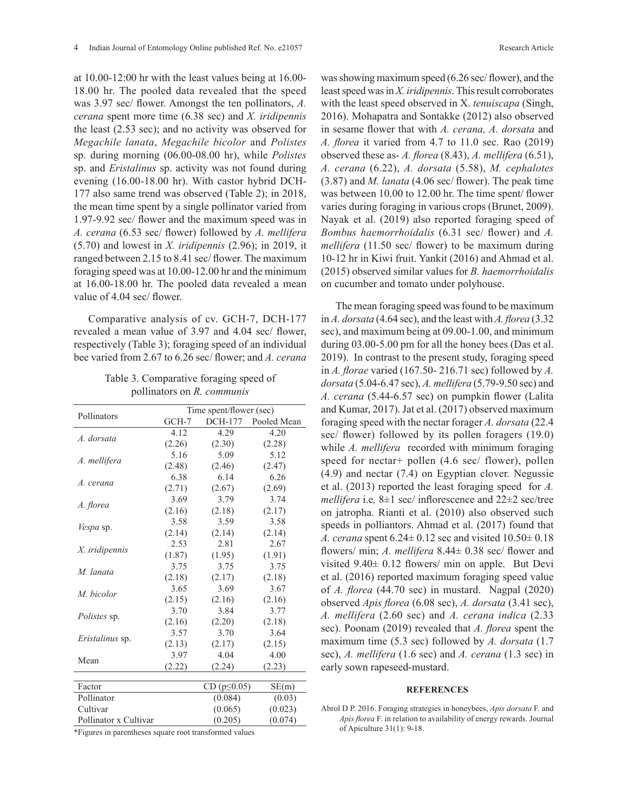at 10.00-12:00 hr with the least values being at 16.00- 18.00 hr. The pooled data revealed that the speed was 3.97 sec/ flower. Amongst the ten pollinators, *A. cerana* spent more time (6.38 sec) and *X. iridipennis*  the least (2.53 sec); and no activity was observed for *Megachile lanata*, *Megachile bicolor* and *Polistes*  sp. during morning (06.00-08.00 hr), while *Polistes*  sp. and *Eristalinus* sp. activity was not found during evening (16.00-18.00 hr). With castor hybrid DCH-177 also same trend was observed (Table 2); in 2018, the mean time spent by a single pollinator varied from 1.97-9.92 sec/ flower and the maximum speed was in *A. cerana* (6.53 sec/ flower) followed by *A. mellifera*  (5.70) and lowest in *X. iridipennis* (2.96); in 2019, it ranged between 2.15 to 8.41 sec/ flower. The maximum foraging speed was at 10.00-12.00 hr and the minimum at 16.00-18.00 hr. The pooled data revealed a mean value of 4.04 sec/ flower.

Comparative analysis of cv. GCH-7, DCH-177 revealed a mean value of 3.97 and 4.04 sec/ flower, respectively (Table 3); foraging speed of an individual bee varied from 2.67 to 6.26 sec/ flower; and *A. cerana* 

| Table 3. Comparative foraging speed of |
|----------------------------------------|
| pollinators on R. communis             |

|                       |        | Time spent/flower (sec) |             |
|-----------------------|--------|-------------------------|-------------|
| Pollinators           | GCH-7  | DCH-177                 | Pooled Mean |
|                       | 4.12   | 4.29                    | 4.20        |
| A. dorsata            | (2.26) | (2.30)                  | (2.28)      |
|                       | 5.16   | 5.09                    | 5.12        |
| A. mellifera          | (2.48) | (2.46)                  | (2.47)      |
|                       | 6.38   | 6.14                    | 6.26        |
| A. cerana             | (2.71) | (2.67)                  | (2.69)      |
|                       | 3.69   | 3.79                    | 3.74        |
| A. florea             | (2.16) | (2.18)                  | (2.17)      |
|                       | 3.58   | 3.59                    | 3.58        |
| <i>Vespa</i> sp.      | (2.14) | (2.14)                  | (2.14)      |
|                       | 2.53   | 2.81                    | 2.67        |
| X. iridipennis        | (1.87) | (1.95)                  | (1.91)      |
|                       | 3.75   | 3.75                    | 3.75        |
| M. lanata             | (2.18) | (2.17)                  | (2.18)      |
|                       | 3.65   | 3.69                    | 3.67        |
| M. bicolor            | (2.15) | (2.16)                  | (2.16)      |
|                       | 3.70   | 3.84                    | 3.77        |
| <i>Polistes</i> sp.   | (2.16) | (2.20)                  | (2.18)      |
|                       | 3.57   | 3.70                    | 3.64        |
| Eristalinus sp.       | (2.13) | (2.17)                  | (2.15)      |
| Mean                  | 3.97   | 4.04                    | 4.00        |
|                       | (2.22) | (2.24)                  | (2.23)      |
|                       |        |                         |             |
| Factor                |        | $CD (p \le 0.05)$       | SE(m)       |
| Pollinator            |        | (0.084)                 | (0.03)      |
| Cultivar              |        | (0.065)                 | (0.023)     |
| Pollinator x Cultivar |        | (0.205)                 | (0.074)     |

\*Figures in parentheses square root transformed values

was showing maximum speed (6.26 sec/ flower), and the least speed was in *X. iridipennis*. This result corroborates with the least speed observed in X. *tenuiscapa* (Singh, 2016). Mohapatra and Sontakke (2012) also observed in sesame flower that with *A. cerana, A. dorsata* and *A. florea* it varied from 4.7 to 11.0 sec. Rao (2019) observed these as- *A. florea* (8.43), *A. mellifera* (6.51), *A. cerana* (6.22), *A. dorsata* (5.58), *M. cephalotes* (3.87) and *M. lanata* (4.06 sec/ flower). The peak time was between 10.00 to 12.00 hr. The time spent/ flower varies during foraging in various crops (Brunet, 2009). Nayak et al. (2019) also reported foraging speed of *Bombus haemorrhoidalis* (6.31 sec/ flower) and *A. mellifera* (11.50 sec/ flower) to be maximum during 10-12 hr in Kiwi fruit. Yankit (2016) and Ahmad et al. (2015) observed similar values for *B. haemorrhoidalis*  on cucumber and tomato under polyhouse.

The mean foraging speed was found to be maximum in *A. dorsata* (4.64 sec), and the least with *A. florea* (3.32 sec), and maximum being at 09.00-1.00, and minimum during 03.00-5.00 pm for all the honey bees (Das et al. 2019). In contrast to the present study, foraging speed in *A. florae* varied (167.50- 216.71 sec) followed by *A. dorsata* (5.04-6.47 sec), *A. mellifera* (5.79-9.50 sec) and *A. cerana* (5.44-6.57 sec) on pumpkin flower (Lalita and Kumar, 2017). Jat et al. (2017) observed maximum foraging speed with the nectar forager *A. dorsata* (22.4 sec/ flower) followed by its pollen foragers (19.0) while *A. mellifera* recorded with minimum foraging speed for nectar+ pollen (4.6 sec/ flower), pollen (4.9) and nectar (7.4) on Egyptian clover. Negussie et al. (2013) reported the least foraging speed for *A. mellifera* i.e*,* 8±1 sec/ inflorescence and 22±2 sec/tree on jatropha. Rianti et al. (2010) also observed such speeds in polliantors. Ahmad et al. (2017) found that *A. cerana* spent 6.24± 0.12 sec and visited 10.50± 0.18 flowers/ min; *A. mellifera* 8.44± 0.38 sec/ flower and visited 9.40± 0.12 flowers/ min on apple. But Devi et al. (2016) reported maximum foraging speed value of *A. florea* (44.70 sec) in mustard. Nagpal (2020) observed *Apis florea* (6.08 sec), *A. dorsata* (3.41 sec), *A. mellifera* (2.60 sec) and *A. cerana indica* (2.33 sec). Poonam (2019) revealed that *A. florea* spent the maximum time (5.3 sec) followed by *A. dorsata* (1.7 sec), *A. mellifera* (1.6 sec) and *A. cerana* (1.3 sec) in early sown rapeseed-mustard.

#### **REFERENCES**

Abrol D P. 2016. Foraging strategies in honeybees, *Apis dorsata* F. and *Apis florea* F. in relation to availability of energy rewards. Journal of Apiculture 31(1): 9-18.